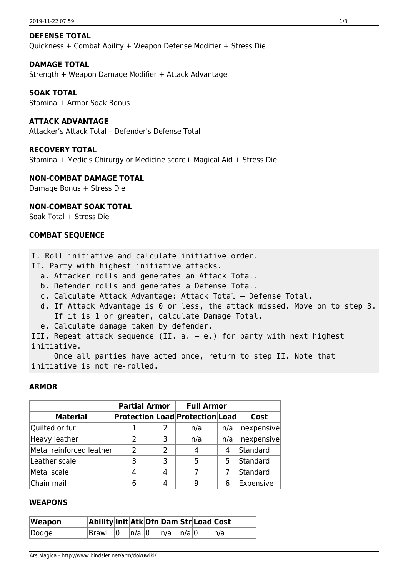#### **DEFENSE TOTAL**

Quickness + Combat Ability + Weapon Defense Modifier + Stress Die

#### **DAMAGE TOTAL**

Strength + Weapon Damage Modifier + Attack Advantage

#### **SOAK TOTAL**

Stamina + Armor Soak Bonus

# **ATTACK ADVANTAGE**

Attacker's Attack Total – Defender's Defense Total

#### **RECOVERY TOTAL**

Stamina + Medic's Chirurgy or Medicine score+ Magical Aid + Stress Die

#### **NON-COMBAT DAMAGE TOTAL**

Damage Bonus + Stress Die

## **NON-COMBAT SOAK TOTAL**

Soak Total + Stress Die

## **COMBAT SEQUENCE**

I. Roll initiative and calculate initiative order.

II. Party with highest initiative attacks.

- a. Attacker rolls and generates an Attack Total.
- b. Defender rolls and generates a Defense Total.
- c. Calculate Attack Advantage: Attack Total Defense Total.
- d. If Attack Advantage is 0 or less, the attack missed. Move on to step 3. If it is 1 or greater, calculate Damage Total.
- e. Calculate damage taken by defender.

III. Repeat attack sequence (II.  $a - e$ .) for party with next highest initiative.

 Once all parties have acted once, return to step II. Note that initiative is not re-rolled.

#### **ARMOR**

|                          | <b>Partial Armor</b> |                | <b>Full Armor</b>               |     |             |
|--------------------------|----------------------|----------------|---------------------------------|-----|-------------|
| <b>Material</b>          |                      |                | Protection Load Protection Load |     | Cost        |
| Quilted or fur           |                      |                | n/a                             | n/a | Inexpensive |
| Heavy leather            | 2                    | 3              | n/a                             | n/a | Inexpensive |
| Metal reinforced leather | $\mathcal{P}$        | $\overline{2}$ | 4                               | 4   | Standard    |
| Leather scale            | २                    | 3              | 5                               | 5   | Standard    |
| Metal scale              |                      | 4              |                                 |     | Standard    |
| Chain mail               |                      |                | 9                               |     | Expensive   |

### **WEAPONS**

| Weapon | Ability Init Atk Dfn Dam Str Load Cost |       |                  |  |     |
|--------|----------------------------------------|-------|------------------|--|-----|
| Dodge  | $\vert$ Brawl $\vert$ 0                | n/a 0 | $ n/a $ $ n/a 0$ |  | n/a |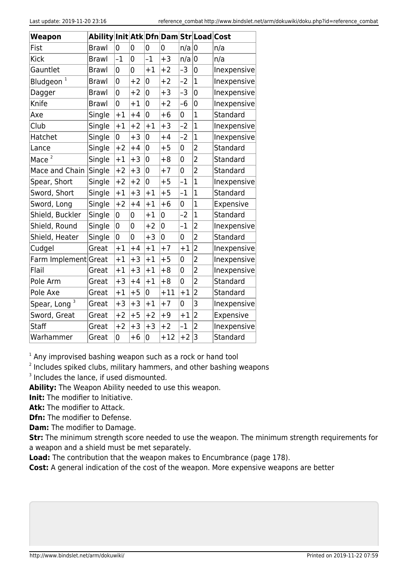| <b>Weapon</b>                   | Ability   Init   Atk   Dfn   Dam   Str   Load   Cost |      |      |                |                |      |                |                  |
|---------------------------------|------------------------------------------------------|------|------|----------------|----------------|------|----------------|------------------|
| Fist                            | <b>Brawl</b>                                         | 0    | 0    | 0              | 0              | n/a  | 0              | n/a              |
| <b>Kick</b>                     | <b>Brawl</b>                                         | $-1$ | 0    | $-1$           | $+3$           | n/a  | 0              | n/a              |
| Gauntlet                        | <b>Brawl</b>                                         | 0    | 0    | $+1$           | $+2$           | -3   | 0              | Inexpensive      |
| Bludgeon <sup>1</sup>           | <b>Brawl</b>                                         | 0    | $+2$ | 0              | $+2$           | $-2$ | $\mathbf 1$    | Inexpensive      |
| Dagger                          | <b>Brawl</b>                                         | 0    | $+2$ | 0              | $+3$           | -3   | $\overline{0}$ | Inexpensive      |
| Knife                           | <b>Brawl</b>                                         | 0    | $+1$ | 0              | $+2$           | -6   | 0              | Inexpensive      |
| Axe                             | Single                                               | $+1$ | $+4$ | 0              | $+6$           | 0    | $\overline{1}$ | Standard         |
| Club                            | Single                                               | $+1$ | $+2$ | $+1$           | $+3$           | $-2$ | $\overline{1}$ | Inexpensive      |
| Hatchet                         | Single                                               | 0    | $+3$ | 0              | $+4$           | $-2$ | $\overline{1}$ | Inexpensive      |
| Lance                           | Single                                               | $+2$ | $+4$ | 0              | $+5$           | 0    | $\overline{2}$ | Standard         |
| $\overline{\mathbf{c}}$<br>Mace | Single                                               | $+1$ | $+3$ | $\overline{0}$ | $+8$           | 0    | $\overline{2}$ | Standard         |
| Mace and Chain                  | Single                                               | $+2$ | $+3$ | 0              | $+7$           | 0    | $\overline{2}$ | Standard         |
| Spear, Short                    | Single                                               | $+2$ | $+2$ | 0              | $+5$           | $-1$ | $\overline{1}$ | Inexpensive      |
| Sword, Short                    | Single                                               | $+1$ | $+3$ | $+1$           | $+5$           | $-1$ | $\mathbf 1$    | Standard         |
| Sword, Long                     | Single                                               | $+2$ | $+4$ | $+1$           | $+6$           | 0    | $\overline{1}$ | Expensive        |
| Shield, Buckler                 | Single                                               | 0    | 0    | $+1$           | 0              | $-2$ | $\mathbf 1$    | Standard         |
| Shield, Round                   | Single                                               | 0    | 0    | $+2$           | $\overline{0}$ | $-1$ | $\overline{2}$ | Inexpensive      |
| Shield, Heater                  | Single                                               | 0    | 0    | $+3$           | 0              | 0    | $\overline{2}$ | Standard         |
| Cudgel                          | Great                                                | $+1$ | $+4$ | $+1$           | $+7$           | $+1$ | $\overline{2}$ | Inexpensive      |
| Farm Implement Great            |                                                      | $+1$ | $+3$ | $+1$           | $+5$           | 0    | $\overline{2}$ | Inexpensive      |
| Flail                           | Great                                                | $+1$ | $+3$ | $+1$           | $+8$           | 0    | $\overline{2}$ | Inexpensive      |
| Pole Arm                        | Great                                                | $+3$ | $+4$ | $+1$           | $+8$           | 0    | $\overline{2}$ | Standard         |
| Pole Axe                        | Great                                                | $+1$ | $+5$ | 0              | $+11$          | $+1$ | $\overline{2}$ | Standard         |
| 3<br>Spear, Long                | Great                                                | $+3$ | $+3$ | $+1$           | $+7$           | 0    | 3              | Inexpensive      |
| Sword, Great                    | Great                                                | $+2$ | $+5$ | $+2$           | $+9$           | $+1$ | $\overline{2}$ | <b>Expensive</b> |
| Staff                           | Great                                                | $+2$ | $+3$ | $+3$           | $+2$           | -1   | $\overline{2}$ | Inexpensive      |
| Warhammer                       | Great                                                | 0    | $+6$ | 0              | $+12$          | $+2$ | $\overline{3}$ | <b>Standard</b>  |

 $1$  Any improvised bashing weapon such as a rock or hand tool

 $2$  Includes spiked clubs, military hammers, and other bashing weapons

<sup>3</sup> Includes the lance, if used dismounted.

**Ability:** The Weapon Ability needed to use this weapon.

**Init:** The modifier to Initiative.

**Atk:** The modifier to Attack.

**Dfn:** The modifier to Defense.

**Dam:** The modifier to Damage.

**Str:** The minimum strength score needed to use the weapon. The minimum strength requirements for a weapon and a shield must be met separately.

**Load:** The contribution that the weapon makes to Encumbrance (page 178).

**Cost:** A general indication of the cost of the weapon. More expensive weapons are better